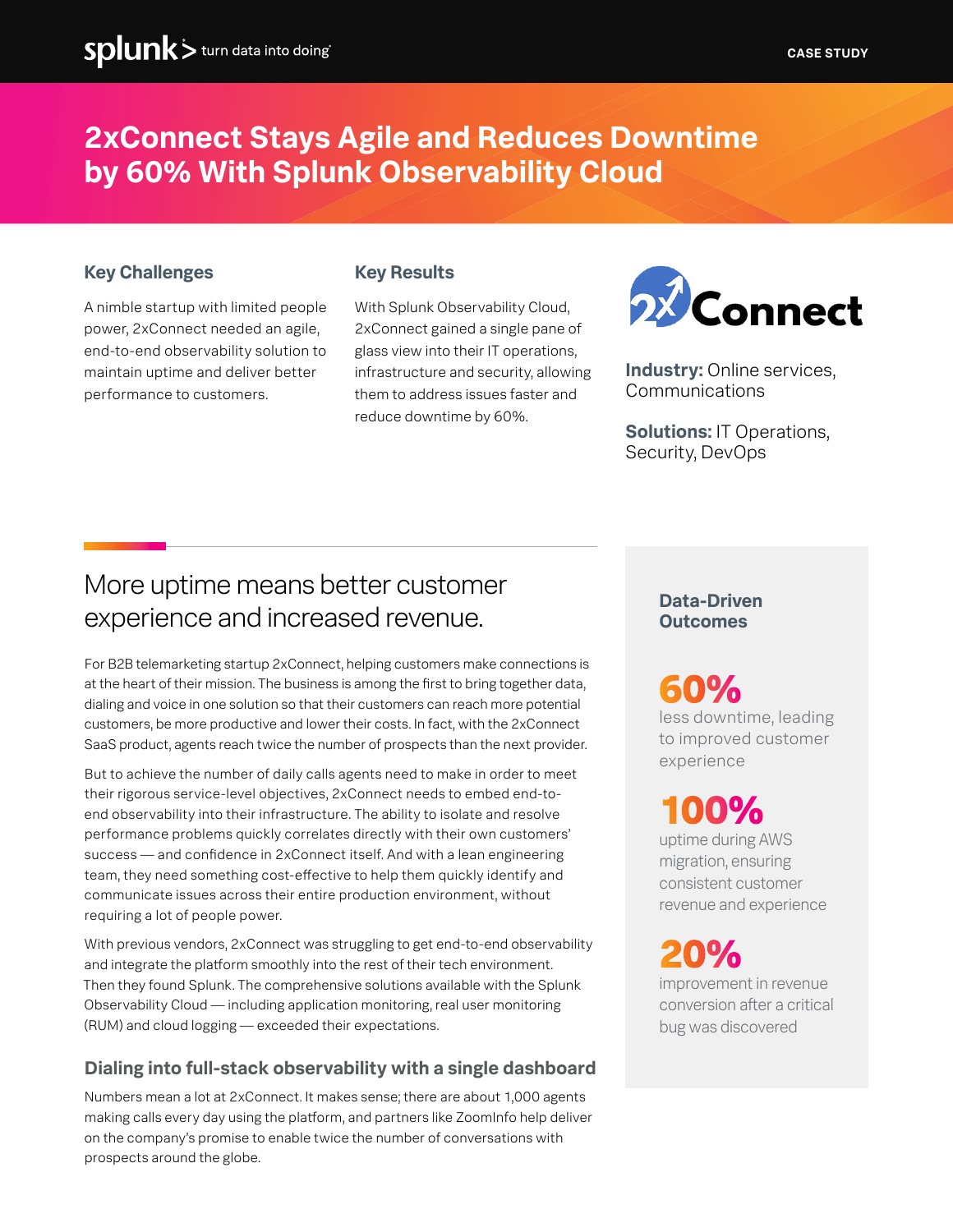### **2xConnect Stays Agile and Reduces Downtime by 60% With Splunk Observability Cloud**

### **Key Challenges**

A nimble startup with limited people power, 2xConnect needed an agile, end-to-end observability solution to maintain uptime and deliver better performance to customers.

#### **Key Results**

With Splunk Observability Cloud, 2xConnect gained a single pane of glass view into their IT operations, infrastructure and security, allowing them to address issues faster and reduce downtime by 60%.



**Industry:** Online services, Communications

**Solutions:** IT Operations, Security, DevOps

### More uptime means better customer experience and increased revenue.

For B2B telemarketing startup 2xConnect, helping customers make connections is at the heart of their mission. The business is among the first to bring together data, dialing and voice in one solution so that their customers can reach more potential customers, be more productive and lower their costs. In fact, with the 2xConnect SaaS product, agents reach twice the number of prospects than the next provider.

But to achieve the number of daily calls agents need to make in order to meet their rigorous service-level objectives, 2xConnect needs to embed end-toend observability into their infrastructure. The ability to isolate and resolve performance problems quickly correlates directly with their own customers' success — and confidence in 2xConnect itself. And with a lean engineering team, they need something cost-effective to help them quickly identify and communicate issues across their entire production environment, without requiring a lot of people power.

With previous vendors, 2xConnect was struggling to get end-to-end observability and integrate the platform smoothly into the rest of their tech environment. Then they found Splunk. The comprehensive solutions available with the Splunk Observability Cloud — including application monitoring, real user monitoring (RUM) and cloud logging — exceeded their expectations.

### **Dialing into full-stack observability with a single dashboard**

Numbers mean a lot at 2xConnect. It makes sense; there are about 1,000 agents making calls every day using the platform, and partners like ZoomInfo help deliver on the company's promise to enable twice the number of conversations with prospects around the globe.

### **Data-Driven Outcomes**

## **60%**

less downtime, leading to improved customer experience

## **100%**

uptime during AWS migration, ensuring consistent customer revenue and experience

improvement in revenue conversion after a critical bug was discovered **20%**